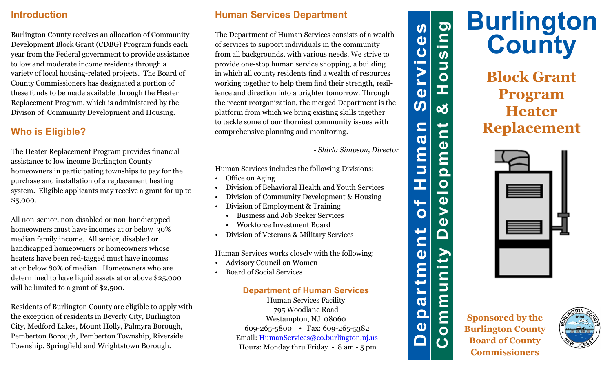#### **Introduction**

Burlington County receives an allocation of Community Development Block Grant (CDBG) Program funds each year from the Federal government to provide assistance to low and moderate income residents through a variety of local housing-related projects. The Board of County Commissioners has designated a portion of these funds to be made available through the Heater Replacement Program, which is administered by the Divison of Community Development and Housing.

## **Who is Eligible?**

The Heater Replacement Program provides financial assistance to low income Burlington County homeowners in participating townships to pay for the purchase and installation of a replacement heating system. Eligible applicants may receive a grant for up to \$5,000.

All non-senior, non-disabled or non-handicapped homeowners must have incomes at or below 30% median family income. All senior, disabled or handicapped homeowners or homeowners whose heaters have been red-tagged must have incomes at or below 80% of median. Homeowners who are determined to have liquid assets at or above \$25,000 will be limited to a grant of \$2,500.

Residents of Burlington County are eligible to apply with the exception of residents in Beverly City, Burlington City, Medford Lakes, Mount Holly, Palmyra Borough, Pemberton Borough, Pemberton Township, Riverside Township, Springfield and Wrightstown Borough.

### **Human Services Department**

The Department of Human Services consists of a wealth of services to support individuals in the community from all backgrounds, with various needs. We strive to provide one-stop human service shopping, a building in which all county residents find a wealth of resources working together to help them find their strength, resilience and direction into a brighter tomorrow. Through the recent reorganization, the merged Department is the platform from which we bring existing skills together to tackle some of our thorniest community issues with comprehensive planning and monitoring.

*- Shirla Simpson, Director*

Human Services includes the following Divisions:

- Office on Aging
- Division of Behavioral Health and Youth Services
- Division of Community Development & Housing
- Division of Employment & Training
	- Business and Job Seeker Services
	- Workforce Investment Board
- Division of Veterans & Military Services

Human Services works closely with the following:

- Advisory Council on Women
- Board of Social Services

#### **Department of Human Services**

Human Services Facility 795 Woodlane Road Westampton, NJ 08060 609-265-5800 • Fax: 609-265-5382 Email: HumanServices@co.burlington.nj.us Hours: Monday thru Friday - 8 am - 5 pm



**Burlington County**

**Block Grant Program Heater Replacement**



**Sponsored by the Burlington County Board of County Commissioners**